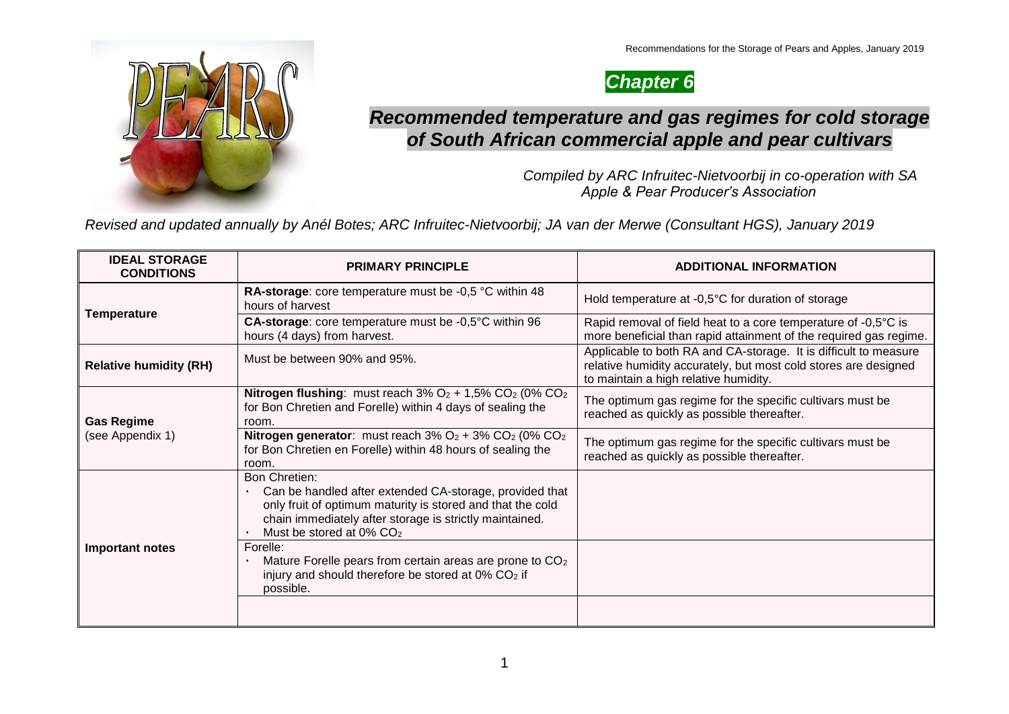

# *Chapter 6*

### *Recommended temperature and gas regimes for cold storage of South African commercial apple and pear cultivars*

*Compiled by ARC Infruitec-Nietvoorbij in co-operation with SA Apple & Pear Producer's Association*

*Revised and updated annually by Anél Botes; ARC Infruitec-Nietvoorbij; JA van der Merwe (Consultant HGS), January 2019*

| <b>IDEAL STORAGE</b><br><b>CONDITIONS</b> | <b>PRIMARY PRINCIPLE</b>                                                                                                                                                                                                                         | <b>ADDITIONAL INFORMATION</b>                                                                                                                                                |
|-------------------------------------------|--------------------------------------------------------------------------------------------------------------------------------------------------------------------------------------------------------------------------------------------------|------------------------------------------------------------------------------------------------------------------------------------------------------------------------------|
|                                           | RA-storage: core temperature must be -0,5 °C within 48<br>hours of harvest                                                                                                                                                                       | Hold temperature at -0,5°C for duration of storage                                                                                                                           |
| <b>Temperature</b>                        | CA-storage: core temperature must be -0,5°C within 96<br>hours (4 days) from harvest.                                                                                                                                                            | Rapid removal of field heat to a core temperature of -0,5°C is<br>more beneficial than rapid attainment of the required gas regime.                                          |
| <b>Relative humidity (RH)</b>             | Must be between 90% and 95%.                                                                                                                                                                                                                     | Applicable to both RA and CA-storage. It is difficult to measure<br>relative humidity accurately, but most cold stores are designed<br>to maintain a high relative humidity. |
| <b>Gas Regime</b>                         | <b>Nitrogen flushing:</b> must reach $3\%$ O <sub>2</sub> + $1,5\%$ CO <sub>2</sub> (0% CO <sub>2</sub> )<br>for Bon Chretien and Forelle) within 4 days of sealing the<br>room.                                                                 | The optimum gas regime for the specific cultivars must be<br>reached as quickly as possible thereafter.                                                                      |
| (see Appendix 1)                          | <b>Nitrogen generator:</b> must reach $3\%$ O <sub>2</sub> + $3\%$ CO <sub>2</sub> (0% CO <sub>2</sub> )<br>for Bon Chretien en Forelle) within 48 hours of sealing the<br>room.                                                                 | The optimum gas regime for the specific cultivars must be<br>reached as quickly as possible thereafter.                                                                      |
|                                           | <b>Bon Chretien:</b><br>Can be handled after extended CA-storage, provided that<br>only fruit of optimum maturity is stored and that the cold<br>chain immediately after storage is strictly maintained.<br>Must be stored at 0% CO <sub>2</sub> |                                                                                                                                                                              |
| <b>Important notes</b>                    | Forelle:<br>Mature Forelle pears from certain areas are prone to CO <sub>2</sub><br>injury and should therefore be stored at 0% CO2 if<br>possible.                                                                                              |                                                                                                                                                                              |
|                                           |                                                                                                                                                                                                                                                  |                                                                                                                                                                              |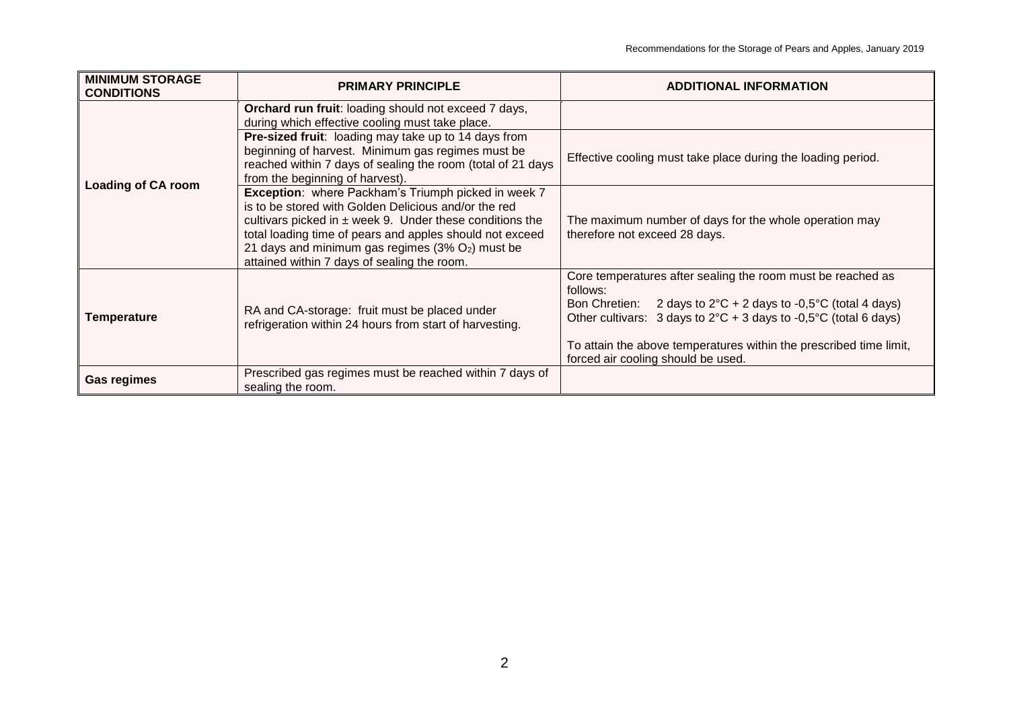| <b>MINIMUM STORAGE</b><br><b>CONDITIONS</b> | <b>PRIMARY PRINCIPLE</b>                                                                                                                                                                                                                                                                                                                      | <b>ADDITIONAL INFORMATION</b>                                                                                                                                                                                                                                                                                                                                  |
|---------------------------------------------|-----------------------------------------------------------------------------------------------------------------------------------------------------------------------------------------------------------------------------------------------------------------------------------------------------------------------------------------------|----------------------------------------------------------------------------------------------------------------------------------------------------------------------------------------------------------------------------------------------------------------------------------------------------------------------------------------------------------------|
|                                             | Orchard run fruit: loading should not exceed 7 days,<br>during which effective cooling must take place.                                                                                                                                                                                                                                       |                                                                                                                                                                                                                                                                                                                                                                |
| <b>Loading of CA room</b>                   | Pre-sized fruit: loading may take up to 14 days from<br>beginning of harvest. Minimum gas regimes must be<br>reached within 7 days of sealing the room (total of 21 days<br>from the beginning of harvest).                                                                                                                                   | Effective cooling must take place during the loading period.                                                                                                                                                                                                                                                                                                   |
|                                             | Exception: where Packham's Triumph picked in week 7<br>is to be stored with Golden Delicious and/or the red<br>cultivars picked in $\pm$ week 9. Under these conditions the<br>total loading time of pears and apples should not exceed<br>21 days and minimum gas regimes $(3\% O_2)$ must be<br>attained within 7 days of sealing the room. | The maximum number of days for the whole operation may<br>therefore not exceed 28 days.                                                                                                                                                                                                                                                                        |
| Temperature                                 | RA and CA-storage: fruit must be placed under<br>refrigeration within 24 hours from start of harvesting.                                                                                                                                                                                                                                      | Core temperatures after sealing the room must be reached as<br>follows:<br>Bon Chretien: 2 days to $2^{\circ}C + 2$ days to -0,5 $^{\circ}C$ (total 4 days)<br>Other cultivars: 3 days to $2^{\circ}C + 3$ days to -0,5 $^{\circ}C$ (total 6 days)<br>To attain the above temperatures within the prescribed time limit,<br>forced air cooling should be used. |
| <b>Gas regimes</b>                          | Prescribed gas regimes must be reached within 7 days of<br>sealing the room.                                                                                                                                                                                                                                                                  |                                                                                                                                                                                                                                                                                                                                                                |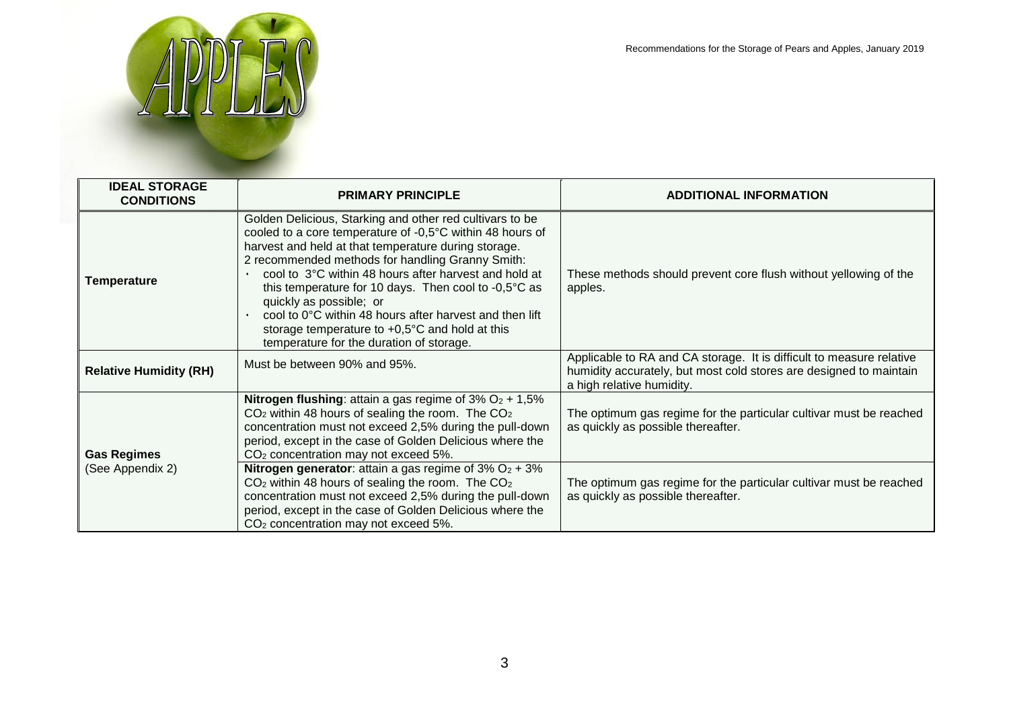

| <b>IDEAL STORAGE</b><br><b>CONDITIONS</b> | <b>PRIMARY PRINCIPLE</b>                                                                                                                                                                                                                                                                                                                                                                                                                                                                                                                         | <b>ADDITIONAL INFORMATION</b>                                                                                                                                           |
|-------------------------------------------|--------------------------------------------------------------------------------------------------------------------------------------------------------------------------------------------------------------------------------------------------------------------------------------------------------------------------------------------------------------------------------------------------------------------------------------------------------------------------------------------------------------------------------------------------|-------------------------------------------------------------------------------------------------------------------------------------------------------------------------|
| Temperature                               | Golden Delicious, Starking and other red cultivars to be<br>cooled to a core temperature of -0,5°C within 48 hours of<br>harvest and held at that temperature during storage.<br>2 recommended methods for handling Granny Smith:<br>cool to 3°C within 48 hours after harvest and hold at<br>this temperature for 10 days. Then cool to -0,5°C as<br>quickly as possible; or<br>cool to 0°C within 48 hours after harvest and then lift<br>storage temperature to $+0.5^{\circ}$ C and hold at this<br>temperature for the duration of storage. | These methods should prevent core flush without yellowing of the<br>apples.                                                                                             |
| <b>Relative Humidity (RH)</b>             | Must be between 90% and 95%.                                                                                                                                                                                                                                                                                                                                                                                                                                                                                                                     | Applicable to RA and CA storage. It is difficult to measure relative<br>humidity accurately, but most cold stores are designed to maintain<br>a high relative humidity. |
| <b>Gas Regimes</b>                        | <b>Nitrogen flushing:</b> attain a gas regime of $3\%$ O <sub>2</sub> + 1,5%<br>$CO2$ within 48 hours of sealing the room. The $CO2$<br>concentration must not exceed 2,5% during the pull-down<br>period, except in the case of Golden Delicious where the<br>CO <sub>2</sub> concentration may not exceed 5%.                                                                                                                                                                                                                                  | The optimum gas regime for the particular cultivar must be reached<br>as quickly as possible thereafter.                                                                |
| (See Appendix 2)                          | <b>Nitrogen generator:</b> attain a gas regime of $3\%$ O <sub>2</sub> + $3\%$<br>$CO2$ within 48 hours of sealing the room. The $CO2$<br>concentration must not exceed 2,5% during the pull-down<br>period, except in the case of Golden Delicious where the<br>CO <sub>2</sub> concentration may not exceed 5%.                                                                                                                                                                                                                                | The optimum gas regime for the particular cultivar must be reached<br>as quickly as possible thereafter.                                                                |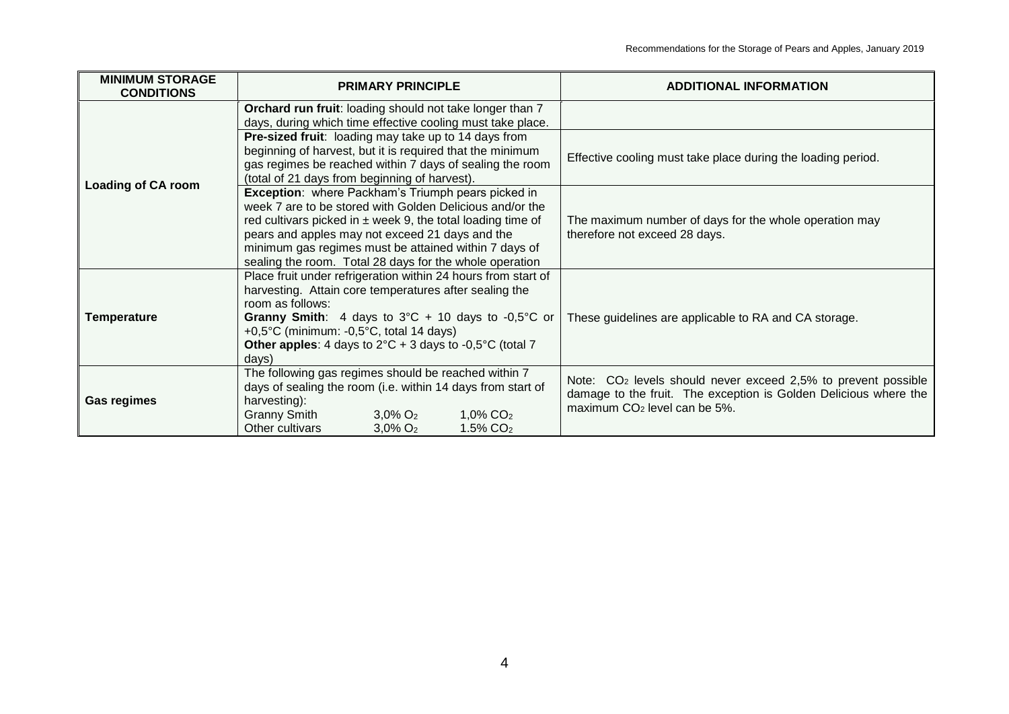| <b>MINIMUM STORAGE</b><br><b>CONDITIONS</b> | <b>PRIMARY PRINCIPLE</b>                                                                                                                                                                                                                                                                                                                                 | <b>ADDITIONAL INFORMATION</b>                                                                                                                                                             |
|---------------------------------------------|----------------------------------------------------------------------------------------------------------------------------------------------------------------------------------------------------------------------------------------------------------------------------------------------------------------------------------------------------------|-------------------------------------------------------------------------------------------------------------------------------------------------------------------------------------------|
|                                             | Orchard run fruit: loading should not take longer than 7<br>days, during which time effective cooling must take place.                                                                                                                                                                                                                                   |                                                                                                                                                                                           |
| <b>Loading of CA room</b>                   | <b>Pre-sized fruit:</b> loading may take up to 14 days from<br>beginning of harvest, but it is required that the minimum<br>gas regimes be reached within 7 days of sealing the room<br>(total of 21 days from beginning of harvest).                                                                                                                    | Effective cooling must take place during the loading period.                                                                                                                              |
|                                             | Exception: where Packham's Triumph pears picked in<br>week 7 are to be stored with Golden Delicious and/or the<br>red cultivars picked in $\pm$ week 9, the total loading time of<br>pears and apples may not exceed 21 days and the<br>minimum gas regimes must be attained within 7 days of<br>sealing the room. Total 28 days for the whole operation | The maximum number of days for the whole operation may<br>therefore not exceed 28 days.                                                                                                   |
| <b>Temperature</b>                          | Place fruit under refrigeration within 24 hours from start of<br>harvesting. Attain core temperatures after sealing the<br>room as follows:<br>Granny Smith: 4 days to $3^{\circ}$ C + 10 days to -0,5°C or<br>+0,5°C (minimum: -0,5°C, total 14 days)<br><b>Other apples:</b> 4 days to $2^{\circ}C + 3$ days to -0,5 $^{\circ}C$ (total 7<br>days)     | These guidelines are applicable to RA and CA storage.                                                                                                                                     |
| <b>Gas regimes</b>                          | The following gas regimes should be reached within 7<br>days of sealing the room (i.e. within 14 days from start of<br>harvesting):<br><b>Granny Smith</b><br>$3,0\%$ O <sub>2</sub><br>$1,0\%$ CO <sub>2</sub><br>Other cultivars<br>1.5% CO <sub>2</sub><br>$3,0\%$ O <sub>2</sub>                                                                     | Note: CO <sub>2</sub> levels should never exceed 2,5% to prevent possible<br>damage to the fruit. The exception is Golden Delicious where the<br>maximum CO <sub>2</sub> level can be 5%. |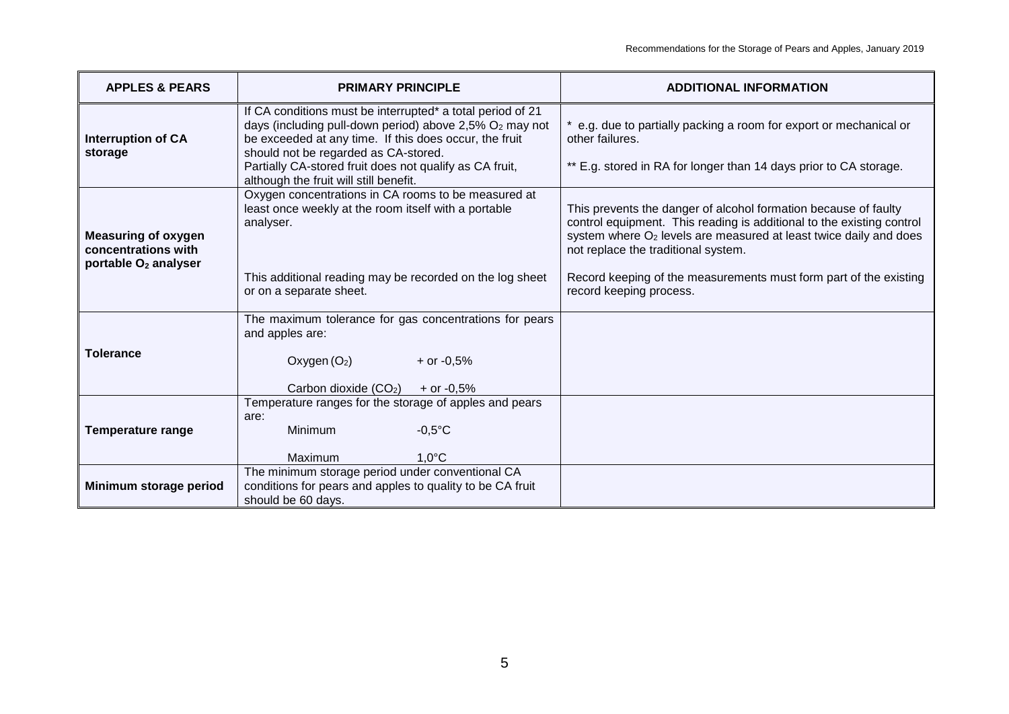| <b>APPLES &amp; PEARS</b>                                                             | <b>PRIMARY PRINCIPLE</b>                                                                                                                                                                                                                                                                                                                 | <b>ADDITIONAL INFORMATION</b>                                                                                                                                                                                                                                                                                                                                    |
|---------------------------------------------------------------------------------------|------------------------------------------------------------------------------------------------------------------------------------------------------------------------------------------------------------------------------------------------------------------------------------------------------------------------------------------|------------------------------------------------------------------------------------------------------------------------------------------------------------------------------------------------------------------------------------------------------------------------------------------------------------------------------------------------------------------|
| <b>Interruption of CA</b><br>storage                                                  | If CA conditions must be interrupted* a total period of 21<br>days (including pull-down period) above 2,5% O <sub>2</sub> may not<br>be exceeded at any time. If this does occur, the fruit<br>should not be regarded as CA-stored.<br>Partially CA-stored fruit does not qualify as CA fruit,<br>although the fruit will still benefit. | * e.g. due to partially packing a room for export or mechanical or<br>other failures.<br>** E.g. stored in RA for longer than 14 days prior to CA storage.                                                                                                                                                                                                       |
| <b>Measuring of oxygen</b><br>concentrations with<br>portable O <sub>2</sub> analyser | Oxygen concentrations in CA rooms to be measured at<br>least once weekly at the room itself with a portable<br>analyser.<br>This additional reading may be recorded on the log sheet<br>or on a separate sheet.                                                                                                                          | This prevents the danger of alcohol formation because of faulty<br>control equipment. This reading is additional to the existing control<br>system where O <sub>2</sub> levels are measured at least twice daily and does<br>not replace the traditional system.<br>Record keeping of the measurements must form part of the existing<br>record keeping process. |
| <b>Tolerance</b>                                                                      | The maximum tolerance for gas concentrations for pears<br>and apples are:<br>Oxygen $(O_2)$<br>+ or $-0.5%$<br>Carbon dioxide (CO <sub>2</sub> )<br>+ or $-0.5%$                                                                                                                                                                         |                                                                                                                                                                                                                                                                                                                                                                  |
| <b>Temperature range</b>                                                              | Temperature ranges for the storage of apples and pears<br>are:<br>Minimum<br>$-0,5$ °C<br>Maximum<br>$1,0^{\circ}$ C                                                                                                                                                                                                                     |                                                                                                                                                                                                                                                                                                                                                                  |
| Minimum storage period                                                                | The minimum storage period under conventional CA<br>conditions for pears and apples to quality to be CA fruit<br>should be 60 days.                                                                                                                                                                                                      |                                                                                                                                                                                                                                                                                                                                                                  |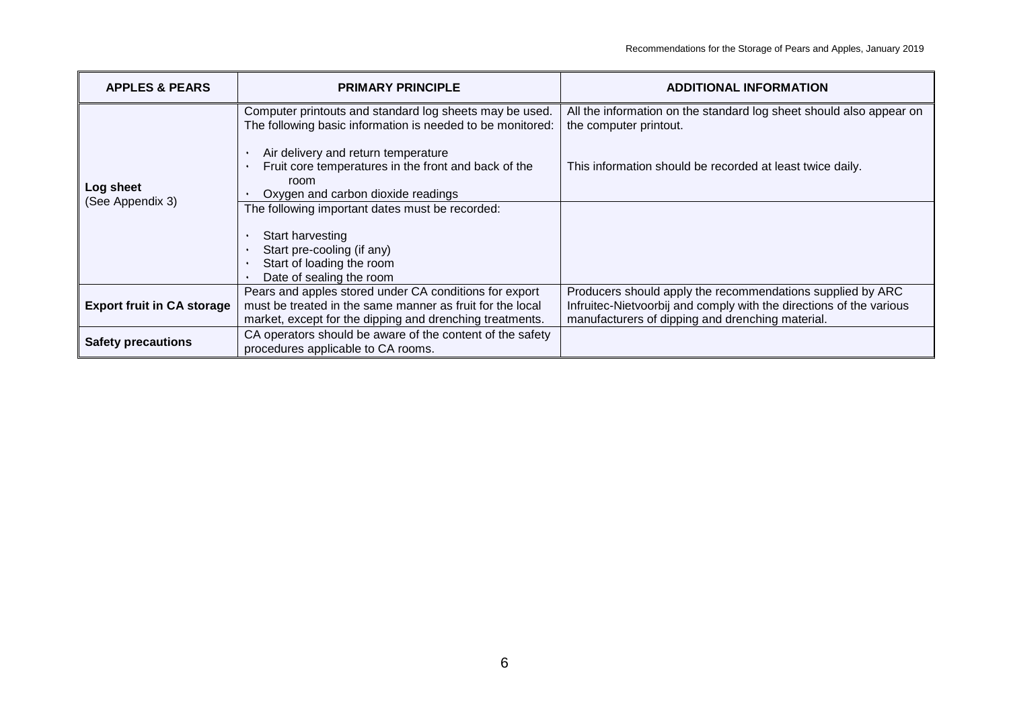| <b>APPLES &amp; PEARS</b>         | <b>PRIMARY PRINCIPLE</b>                                                                                                                                                        | <b>ADDITIONAL INFORMATION</b>                                                                                                                                                         |
|-----------------------------------|---------------------------------------------------------------------------------------------------------------------------------------------------------------------------------|---------------------------------------------------------------------------------------------------------------------------------------------------------------------------------------|
|                                   | Computer printouts and standard log sheets may be used.<br>The following basic information is needed to be monitored:<br>Air delivery and return temperature                    | All the information on the standard log sheet should also appear on<br>the computer printout.                                                                                         |
| Log sheet<br>(See Appendix 3)     | Fruit core temperatures in the front and back of the<br>room<br>Oxygen and carbon dioxide readings                                                                              | This information should be recorded at least twice daily.                                                                                                                             |
|                                   | The following important dates must be recorded:<br>Start harvesting                                                                                                             |                                                                                                                                                                                       |
|                                   | Start pre-cooling (if any)<br>Start of loading the room<br>Date of sealing the room                                                                                             |                                                                                                                                                                                       |
| <b>Export fruit in CA storage</b> | Pears and apples stored under CA conditions for export<br>must be treated in the same manner as fruit for the local<br>market, except for the dipping and drenching treatments. | Producers should apply the recommendations supplied by ARC<br>Infruitec-Nietvoorbij and comply with the directions of the various<br>manufacturers of dipping and drenching material. |
| <b>Safety precautions</b>         | CA operators should be aware of the content of the safety<br>procedures applicable to CA rooms.                                                                                 |                                                                                                                                                                                       |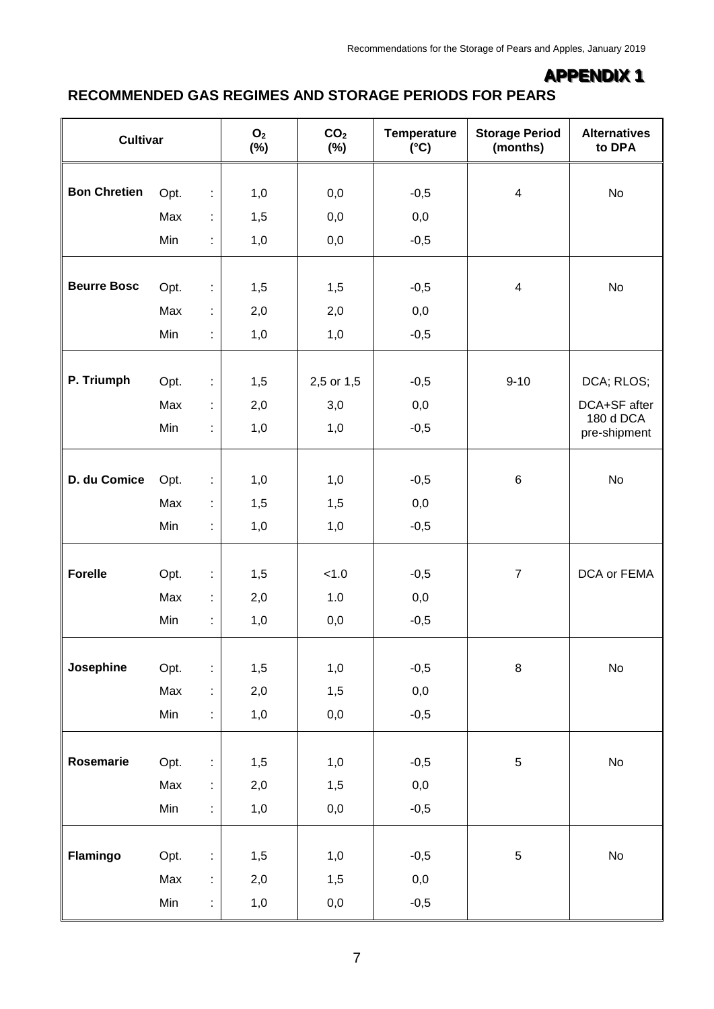# **APPENDIX 1**

#### **RECOMMENDED GAS REGIMES AND STORAGE PERIODS FOR PEARS**

|                                                      |            | O <sub>2</sub><br>$(\%)$ | CO <sub>2</sub><br>$(\%)$ | Temperature<br>$(^{\circ}C)$ | <b>Storage Period</b><br>(months) | <b>Alternatives</b><br>to DPA |
|------------------------------------------------------|------------|--------------------------|---------------------------|------------------------------|-----------------------------------|-------------------------------|
| <b>Bon Chretien</b>                                  |            |                          |                           |                              |                                   |                               |
|                                                      | t,         | 1,0                      | 0,0                       | $-0,5$                       | $\overline{4}$                    | No                            |
|                                                      | Max<br>÷.  | 1,5                      | 0,0                       | 0,0                          |                                   |                               |
|                                                      | Min<br>÷.  | 1,0                      | 0,0                       | $-0,5$                       |                                   |                               |
|                                                      |            |                          |                           |                              |                                   |                               |
|                                                      | Opt.<br>t, | 1,5                      | 1,5                       | $-0,5$                       | $\overline{\mathcal{A}}$          | No                            |
| <b>Cultivar</b><br>Opt.<br><b>Beurre Bosc</b><br>Max |            | 2,0                      | 2,0                       | 0,0                          |                                   |                               |
|                                                      | Min<br>÷   | 1,0                      | 1,0                       | $-0,5$                       |                                   |                               |
|                                                      |            |                          |                           |                              |                                   |                               |
| P. Triumph                                           | Opt.<br>÷. | 1,5                      | 2,5 or 1,5                | $-0,5$                       | $9 - 10$                          | DCA; RLOS;                    |
|                                                      | Max<br>t,  | 2,0                      | 3,0                       | 0,0                          |                                   | DCA+SF after<br>180 d DCA     |
|                                                      | Min<br>÷   | 1,0                      | 1,0                       | $-0,5$                       |                                   | pre-shipment                  |
|                                                      |            |                          |                           |                              |                                   |                               |
| D. du Comice                                         | Opt.<br>t. | 1,0                      | 1,0                       | $-0,5$                       | 6                                 | No                            |
|                                                      | Max<br>t,  | 1,5                      | 1,5                       | 0,0                          |                                   |                               |
|                                                      | Min<br>t,  | 1,0                      | 1,0                       | $-0,5$                       |                                   |                               |
| <b>Forelle</b>                                       | Opt.<br>t, | 1,5                      | < 1.0                     | $-0,5$                       | $\overline{7}$                    | DCA or FEMA                   |
|                                                      |            |                          |                           |                              |                                   |                               |
|                                                      | Max<br>t,  | 2,0                      | 1.0                       | 0,0                          |                                   |                               |
|                                                      | Min<br>t,  | 1,0                      | 0,0                       | $-0,5$                       |                                   |                               |
| Josephine                                            | Opt.<br>÷. | 1,5                      | 1,0                       | $-0,5$                       | $\bf 8$                           | $\mathsf{No}$                 |
|                                                      | Max<br>÷.  | 2,0                      | 1,5                       | $_{\rm 0,0}$                 |                                   |                               |
|                                                      | Min<br>÷.  | 1,0                      | 0,0                       | $-0,5$                       |                                   |                               |
|                                                      |            |                          |                           |                              |                                   |                               |
| Rosemarie                                            | Opt.<br>t, | 1,5                      | 1,0                       | $-0,5$                       | 5                                 | $\operatorname{\mathsf{No}}$  |
|                                                      | Max<br>t,  | 2,0                      | 1,5                       | $_{0,0}$                     |                                   |                               |
| Min<br>1,0<br>$_{0,0}$<br>÷,                         |            | $-0,5$                   |                           |                              |                                   |                               |
|                                                      |            |                          |                           |                              |                                   |                               |
| Flamingo                                             | Opt.<br>t, | 1,5                      | 1,0                       | $-0,5$                       | 5                                 | No                            |
|                                                      | Max<br>t,  | 2,0                      | 1,5                       | $_{0,0}$                     |                                   |                               |
|                                                      | Min<br>t,  | 1,0                      | 0,0                       | $-0,5$                       |                                   |                               |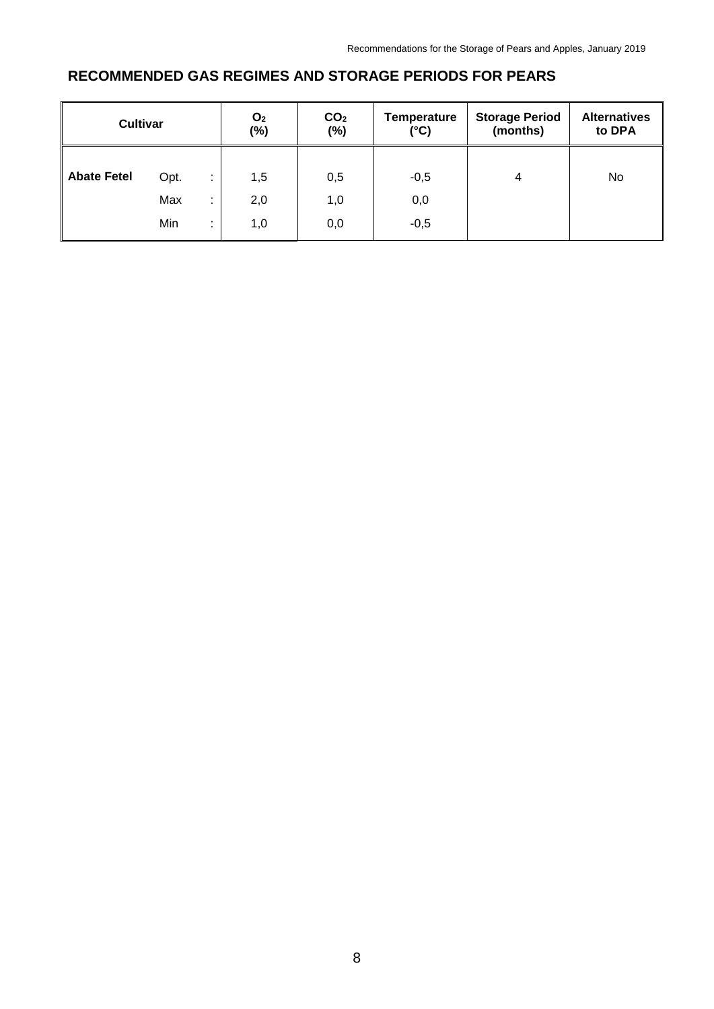#### **RECOMMENDED GAS REGIMES AND STORAGE PERIODS FOR PEARS**

| <b>Cultivar</b>    |                        | O <sub>2</sub><br>$(\%)$ | CO <sub>2</sub><br>$(\%)$ | <b>Temperature</b><br>(°C) | <b>Storage Period</b><br>(months) | <b>Alternatives</b><br>to DPA |
|--------------------|------------------------|--------------------------|---------------------------|----------------------------|-----------------------------------|-------------------------------|
| <b>Abate Fetel</b> | Opt.                   | 1,5                      | 0,5                       | $-0,5$                     | 4                                 | No                            |
|                    | Max<br>Min<br>٠.<br>۰. | 2,0<br>1,0               | 1,0<br>0,0                | 0,0<br>$-0,5$              |                                   |                               |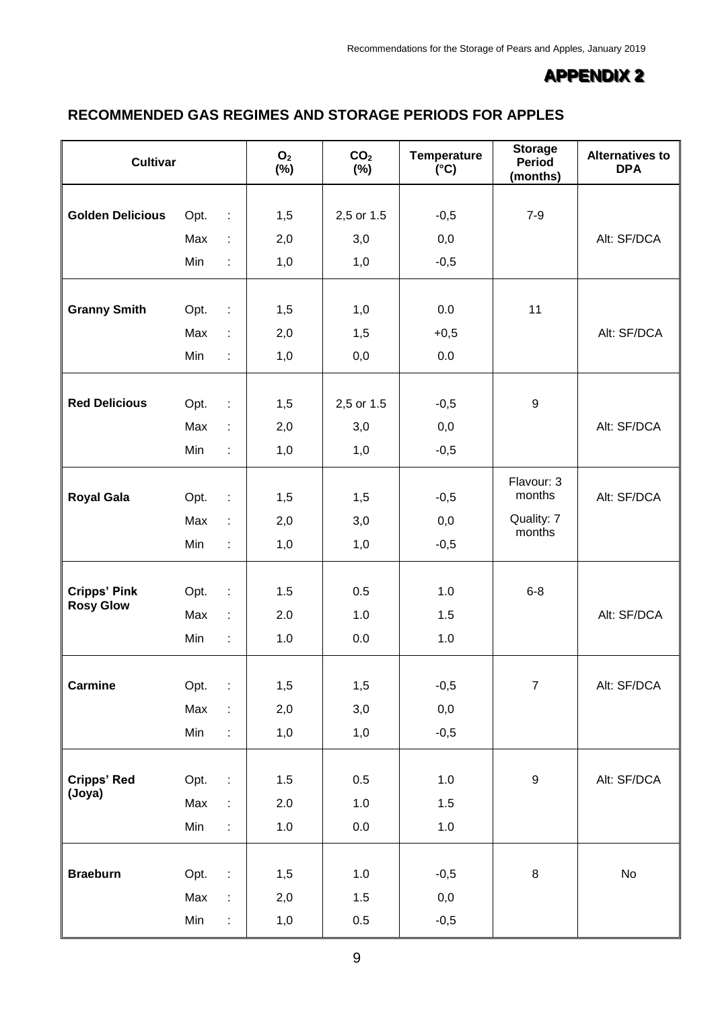### **APPENDIX 2**

#### **RECOMMENDED GAS REGIMES AND STORAGE PERIODS FOR APPLES**

| <b>Cultivar</b>         |           |                      | O <sub>2</sub><br>$(\%)$ | CO <sub>2</sub><br>$(\%)$ | <b>Temperature</b><br>$(^{\circ}C)$ | <b>Storage</b><br><b>Period</b><br>(months) | <b>Alternatives to</b><br><b>DPA</b> |
|-------------------------|-----------|----------------------|--------------------------|---------------------------|-------------------------------------|---------------------------------------------|--------------------------------------|
|                         |           |                      |                          |                           |                                     |                                             |                                      |
| <b>Golden Delicious</b> | Opt.<br>÷ |                      | 1,5                      | 2,5 or 1.5                | $-0,5$                              | $7-9$                                       |                                      |
|                         | Max       | $\ddot{\phantom{a}}$ | 2,0                      | 3,0                       | 0,0                                 |                                             | Alt: SF/DCA                          |
|                         | Min       | ÷                    | 1,0                      | 1,0                       | $-0,5$                              |                                             |                                      |
|                         |           |                      |                          |                           |                                     |                                             |                                      |
| <b>Granny Smith</b>     | Opt.      | $\pm$                | 1,5                      | 1,0                       | 0.0                                 | 11                                          |                                      |
|                         | Max       | $\ddot{\phantom{a}}$ | 2,0                      | 1,5                       | $+0,5$                              |                                             | Alt: SF/DCA                          |
|                         | Min       | ÷                    | 1,0                      | 0,0                       | 0.0                                 |                                             |                                      |
|                         |           |                      |                          |                           |                                     |                                             |                                      |
| <b>Red Delicious</b>    | Opt.      | $\ddot{\phantom{a}}$ | 1,5                      | 2,5 or 1.5                | $-0,5$                              | $\boldsymbol{9}$                            |                                      |
|                         | Max       | ÷                    | 2,0                      | 3,0                       | 0,0                                 |                                             | Alt: SF/DCA                          |
|                         | Min       | ÷,                   | 1,0                      | 1,0                       | $-0,5$                              |                                             |                                      |
|                         |           |                      |                          |                           |                                     | Flavour: 3                                  |                                      |
| <b>Royal Gala</b>       | Opt.      | $\ddot{\phantom{a}}$ | 1,5                      | 1,5                       | $-0,5$                              | months                                      | Alt: SF/DCA                          |
|                         | Max       | ÷                    | 2,0                      | 3,0                       | 0,0                                 | Quality: 7<br>months                        |                                      |
|                         | Min       | ÷                    | 1,0                      | 1,0                       | $-0,5$                              |                                             |                                      |
|                         |           |                      |                          |                           |                                     |                                             |                                      |
| <b>Cripps' Pink</b>     | Opt.      | $\ddot{\phantom{a}}$ | 1.5                      | 0.5                       | 1.0                                 | $6 - 8$                                     |                                      |
| <b>Rosy Glow</b>        | Max       | ÷                    | 2.0                      | 1.0                       | 1.5                                 |                                             | Alt: SF/DCA                          |
|                         | Min       | ÷                    | 1.0                      | 0.0                       | 1.0                                 |                                             |                                      |
|                         |           |                      |                          |                           |                                     |                                             |                                      |
| <b>Carmine</b>          | Opt.      | ÷                    | 1,5                      | 1,5                       | $-0,5$                              | $\boldsymbol{7}$                            | Alt: SF/DCA                          |
|                         | Max       | ÷,                   | 2,0                      | 3,0                       | 0,0                                 |                                             |                                      |
|                         | Min       | ÷,                   | 1,0                      | 1,0                       | $-0,5$                              |                                             |                                      |
|                         |           |                      |                          |                           |                                     |                                             |                                      |
| <b>Cripps' Red</b>      | Opt.      | $\mathcal{L}$        | 1.5                      | 0.5                       | $1.0$                               | $\boldsymbol{9}$                            | Alt: SF/DCA                          |
| (Joya)                  | Max       | ÷                    | 2.0                      | $1.0$                     | 1.5                                 |                                             |                                      |
|                         | Min       | ÷                    | 1.0                      | 0.0                       | $1.0\,$                             |                                             |                                      |
|                         |           |                      |                          |                           |                                     |                                             |                                      |
| <b>Braeburn</b>         | Opt.      | $\ddot{\cdot}$       | 1,5                      | $1.0$                     | $-0,5$                              | $\bf 8$                                     | $\mathsf{No}$                        |
|                         | Max       | ÷                    | 2,0                      | 1.5                       | 0,0                                 |                                             |                                      |
|                         | Min       | t,                   | 1,0                      | 0.5                       | $-0,5$                              |                                             |                                      |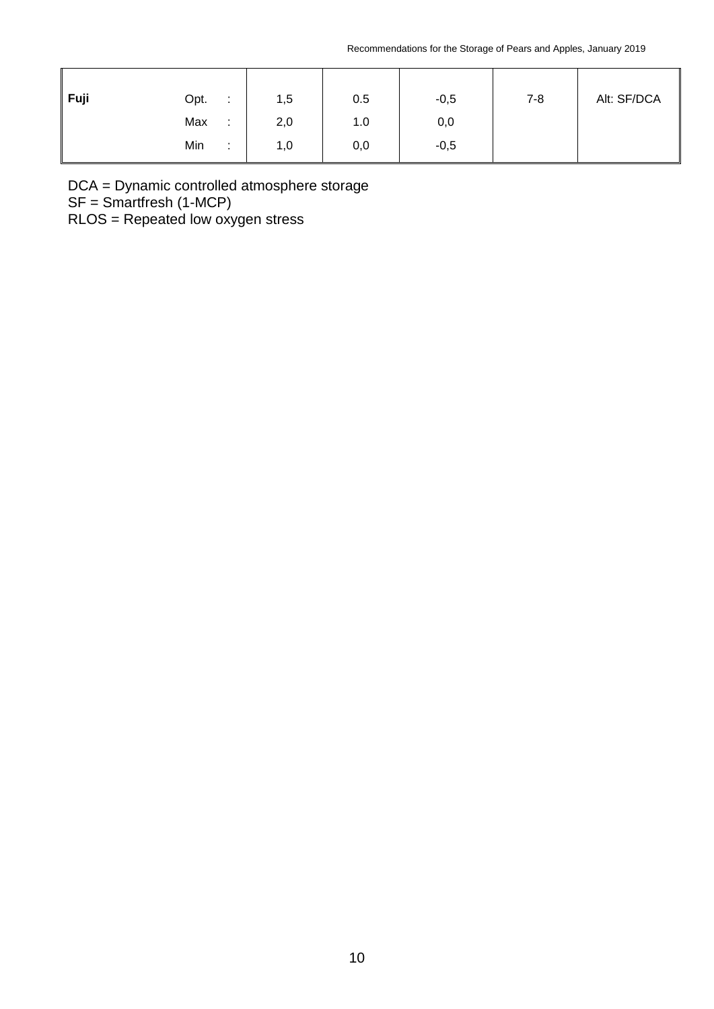| $\vert$ Fuji | Opt. | ÷             | 1,5 | 0.5 | $-0,5$ | $7 - 8$ | Alt: SF/DCA |
|--------------|------|---------------|-----|-----|--------|---------|-------------|
|              | Max  | ÷             | 2,0 | 1.0 | 0,0    |         |             |
|              | Min  | ٠.<br>$\cdot$ | 1,0 | 0,0 | $-0,5$ |         |             |

DCA = Dynamic controlled atmosphere storage

SF = Smartfresh (1-MCP)

RLOS = Repeated low oxygen stress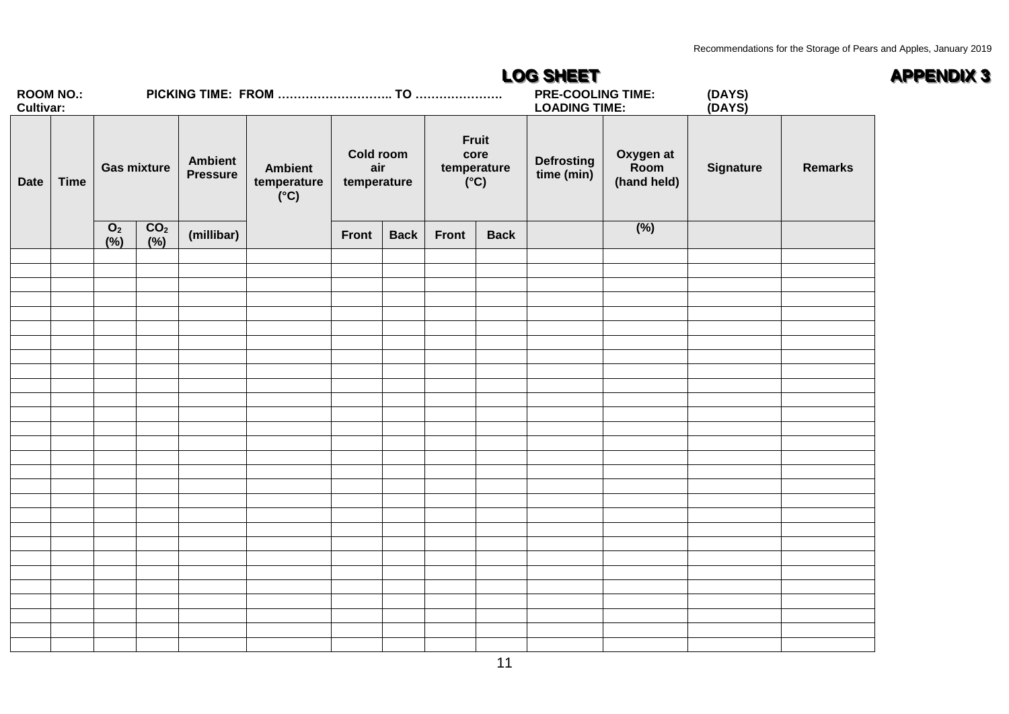|                                      |             | <b>LOG SHEET</b>      |                        |                                   |                                                |                                 |             |       |                                                  |                                 |                                  |                  |                | <b>APPENDIX 3</b> |
|--------------------------------------|-------------|-----------------------|------------------------|-----------------------------------|------------------------------------------------|---------------------------------|-------------|-------|--------------------------------------------------|---------------------------------|----------------------------------|------------------|----------------|-------------------|
| <b>ROOM NO.:</b><br><b>Cultivar:</b> |             |                       |                        |                                   |                                                |                                 |             |       | <b>PRE-COOLING TIME:</b><br><b>LOADING TIME:</b> |                                 | (DAYS)<br>(DAYS)                 |                  |                |                   |
| <b>Date</b>                          | <b>Time</b> |                       | <b>Gas mixture</b>     | <b>Ambient</b><br><b>Pressure</b> | <b>Ambient</b><br>temperature<br>$(C^{\circ})$ | Cold room<br>air<br>temperature |             |       | Fruit<br>core<br>temperature<br>$(C^{\circ})$    | <b>Defrosting</b><br>time (min) | Oxygen at<br>Room<br>(hand held) | <b>Signature</b> | <b>Remarks</b> |                   |
|                                      |             | O <sub>2</sub><br>(%) | CO <sub>2</sub><br>(%) | (millibar)                        |                                                | Front                           | <b>Back</b> | Front | <b>Back</b>                                      |                                 | (%)                              |                  |                |                   |
|                                      |             |                       |                        |                                   |                                                |                                 |             |       |                                                  |                                 |                                  |                  |                |                   |
|                                      |             |                       |                        |                                   |                                                |                                 |             |       |                                                  |                                 |                                  |                  |                |                   |
|                                      |             |                       |                        |                                   |                                                |                                 |             |       |                                                  |                                 |                                  |                  |                |                   |
|                                      |             |                       |                        |                                   |                                                |                                 |             |       |                                                  |                                 |                                  |                  |                |                   |
|                                      |             |                       |                        |                                   |                                                |                                 |             |       |                                                  |                                 |                                  |                  |                |                   |
|                                      |             |                       |                        |                                   |                                                |                                 |             |       |                                                  |                                 |                                  |                  |                |                   |
|                                      |             |                       |                        |                                   |                                                |                                 |             |       |                                                  |                                 |                                  |                  |                |                   |
|                                      |             |                       |                        |                                   |                                                |                                 |             |       |                                                  |                                 |                                  |                  |                |                   |
|                                      |             |                       |                        |                                   |                                                |                                 |             |       |                                                  |                                 |                                  |                  |                |                   |
|                                      |             |                       |                        |                                   |                                                |                                 |             |       |                                                  |                                 |                                  |                  |                |                   |
|                                      |             |                       |                        |                                   |                                                |                                 |             |       |                                                  |                                 |                                  |                  |                |                   |
|                                      |             |                       |                        |                                   |                                                |                                 |             |       |                                                  |                                 |                                  |                  |                |                   |
|                                      |             |                       |                        |                                   |                                                |                                 |             |       |                                                  |                                 |                                  |                  |                |                   |
|                                      |             |                       |                        |                                   |                                                |                                 |             |       |                                                  |                                 |                                  |                  |                |                   |
|                                      |             |                       |                        |                                   |                                                |                                 |             |       |                                                  |                                 |                                  |                  |                |                   |
|                                      |             |                       |                        |                                   |                                                |                                 |             |       |                                                  |                                 |                                  |                  |                |                   |
|                                      |             |                       |                        |                                   |                                                |                                 |             |       |                                                  |                                 |                                  |                  |                |                   |
|                                      |             |                       |                        |                                   |                                                |                                 |             |       |                                                  |                                 |                                  |                  |                |                   |
|                                      |             |                       |                        |                                   |                                                |                                 |             |       |                                                  |                                 |                                  |                  |                |                   |
|                                      |             |                       |                        |                                   |                                                |                                 |             |       |                                                  |                                 |                                  |                  |                |                   |
|                                      |             |                       |                        |                                   |                                                |                                 |             |       |                                                  |                                 |                                  |                  |                |                   |
|                                      |             |                       |                        |                                   |                                                |                                 |             |       |                                                  |                                 |                                  |                  |                |                   |
|                                      |             |                       |                        |                                   |                                                |                                 |             |       |                                                  |                                 |                                  |                  |                |                   |